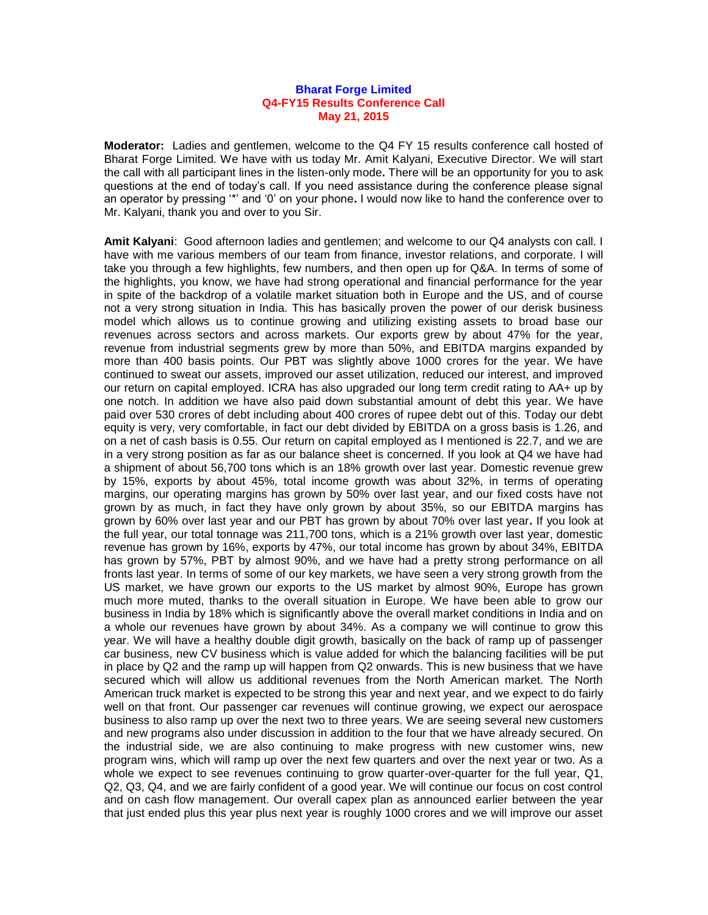## **Bharat Forge Limited Q4-FY15 Results Conference Call May 21, 2015**

**Moderator:** Ladies and gentlemen, welcome to the Q4 FY 15 results conference call hosted of Bharat Forge Limited. We have with us today Mr. Amit Kalyani, Executive Director. We will start the call with all participant lines in the listen-only mode**.** There will be an opportunity for you to ask questions at the end of today's call. If you need assistance during the conference please signal an operator by pressing '\*' and '0' on your phone**.** I would now like to hand the conference over to Mr. Kalyani, thank you and over to you Sir.

**Amit Kalyani**: Good afternoon ladies and gentlemen; and welcome to our Q4 analysts con call. I have with me various members of our team from finance, investor relations, and corporate. I will take you through a few highlights, few numbers, and then open up for Q&A. In terms of some of the highlights, you know, we have had strong operational and financial performance for the year in spite of the backdrop of a volatile market situation both in Europe and the US, and of course not a very strong situation in India. This has basically proven the power of our derisk business model which allows us to continue growing and utilizing existing assets to broad base our revenues across sectors and across markets. Our exports grew by about 47% for the year, revenue from industrial segments grew by more than 50%, and EBITDA margins expanded by more than 400 basis points. Our PBT was slightly above 1000 crores for the year. We have continued to sweat our assets, improved our asset utilization, reduced our interest, and improved our return on capital employed. ICRA has also upgraded our long term credit rating to AA+ up by one notch. In addition we have also paid down substantial amount of debt this year. We have paid over 530 crores of debt including about 400 crores of rupee debt out of this. Today our debt equity is very, very comfortable, in fact our debt divided by EBITDA on a gross basis is 1.26, and on a net of cash basis is 0.55. Our return on capital employed as I mentioned is 22.7, and we are in a very strong position as far as our balance sheet is concerned. If you look at Q4 we have had a shipment of about 56,700 tons which is an 18% growth over last year. Domestic revenue grew by 15%, exports by about 45%, total income growth was about 32%, in terms of operating margins, our operating margins has grown by 50% over last year, and our fixed costs have not grown by as much, in fact they have only grown by about 35%, so our EBITDA margins has grown by 60% over last year and our PBT has grown by about 70% over last year**.** If you look at the full year, our total tonnage was 211,700 tons, which is a 21% growth over last year, domestic revenue has grown by 16%, exports by 47%, our total income has grown by about 34%, EBITDA has grown by 57%. PBT by almost 90%, and we have had a pretty strong performance on all fronts last year. In terms of some of our key markets, we have seen a very strong growth from the US market, we have grown our exports to the US market by almost 90%, Europe has grown much more muted, thanks to the overall situation in Europe. We have been able to grow our business in India by 18% which is significantly above the overall market conditions in India and on a whole our revenues have grown by about 34%. As a company we will continue to grow this year. We will have a healthy double digit growth, basically on the back of ramp up of passenger car business, new CV business which is value added for which the balancing facilities will be put in place by Q2 and the ramp up will happen from Q2 onwards. This is new business that we have secured which will allow us additional revenues from the North American market. The North American truck market is expected to be strong this year and next year, and we expect to do fairly well on that front. Our passenger car revenues will continue growing, we expect our aerospace business to also ramp up over the next two to three years. We are seeing several new customers and new programs also under discussion in addition to the four that we have already secured. On the industrial side, we are also continuing to make progress with new customer wins, new program wins, which will ramp up over the next few quarters and over the next year or two. As a whole we expect to see revenues continuing to grow quarter-over-quarter for the full year, Q1, Q2, Q3, Q4, and we are fairly confident of a good year. We will continue our focus on cost control and on cash flow management. Our overall capex plan as announced earlier between the year that just ended plus this year plus next year is roughly 1000 crores and we will improve our asset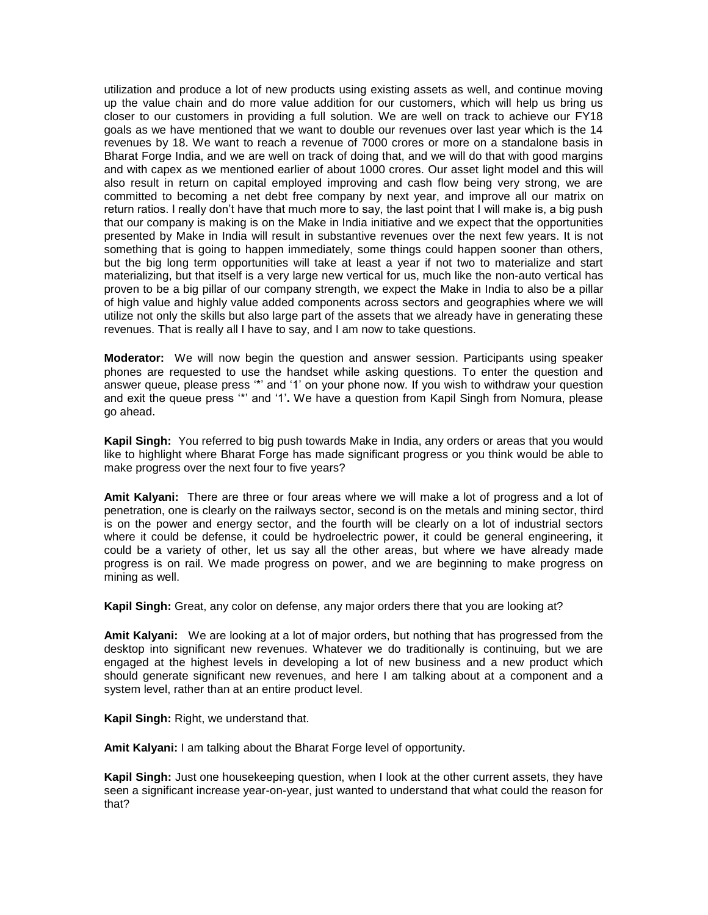utilization and produce a lot of new products using existing assets as well, and continue moving up the value chain and do more value addition for our customers, which will help us bring us closer to our customers in providing a full solution. We are well on track to achieve our FY18 goals as we have mentioned that we want to double our revenues over last year which is the 14 revenues by 18. We want to reach a revenue of 7000 crores or more on a standalone basis in Bharat Forge India, and we are well on track of doing that, and we will do that with good margins and with capex as we mentioned earlier of about 1000 crores. Our asset light model and this will also result in return on capital employed improving and cash flow being very strong, we are committed to becoming a net debt free company by next year, and improve all our matrix on return ratios. I really don't have that much more to say, the last point that I will make is, a big push that our company is making is on the Make in India initiative and we expect that the opportunities presented by Make in India will result in substantive revenues over the next few years. It is not something that is going to happen immediately, some things could happen sooner than others, but the big long term opportunities will take at least a year if not two to materialize and start materializing, but that itself is a very large new vertical for us, much like the non-auto vertical has proven to be a big pillar of our company strength, we expect the Make in India to also be a pillar of high value and highly value added components across sectors and geographies where we will utilize not only the skills but also large part of the assets that we already have in generating these revenues. That is really all I have to say, and I am now to take questions.

**Moderator:** We will now begin the question and answer session. Participants using speaker phones are requested to use the handset while asking questions. To enter the question and answer queue, please press '\*' and '1' on your phone now. If you wish to withdraw your question and exit the queue press '\*' and '1'**.** We have a question from Kapil Singh from Nomura, please go ahead.

**Kapil Singh:** You referred to big push towards Make in India, any orders or areas that you would like to highlight where Bharat Forge has made significant progress or you think would be able to make progress over the next four to five years?

**Amit Kalyani:** There are three or four areas where we will make a lot of progress and a lot of penetration, one is clearly on the railways sector, second is on the metals and mining sector, third is on the power and energy sector, and the fourth will be clearly on a lot of industrial sectors where it could be defense, it could be hydroelectric power, it could be general engineering, it could be a variety of other, let us say all the other areas, but where we have already made progress is on rail. We made progress on power, and we are beginning to make progress on mining as well.

**Kapil Singh:** Great, any color on defense, any major orders there that you are looking at?

**Amit Kalyani:** We are looking at a lot of major orders, but nothing that has progressed from the desktop into significant new revenues. Whatever we do traditionally is continuing, but we are engaged at the highest levels in developing a lot of new business and a new product which should generate significant new revenues, and here I am talking about at a component and a system level, rather than at an entire product level.

**Kapil Singh:** Right, we understand that.

**Amit Kalyani:** I am talking about the Bharat Forge level of opportunity.

**Kapil Singh:** Just one housekeeping question, when I look at the other current assets, they have seen a significant increase year-on-year, just wanted to understand that what could the reason for that?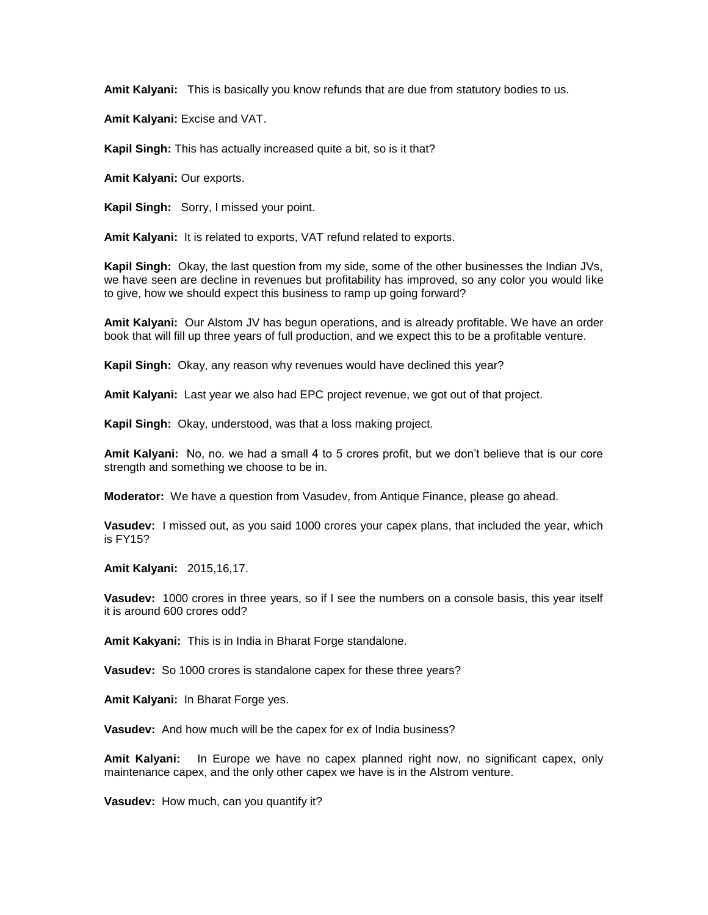**Amit Kalyani:** This is basically you know refunds that are due from statutory bodies to us.

**Amit Kalyani:** Excise and VAT.

**Kapil Singh:** This has actually increased quite a bit, so is it that?

**Amit Kalyani:** Our exports.

**Kapil Singh:** Sorry, I missed your point.

**Amit Kalyani:** It is related to exports, VAT refund related to exports.

**Kapil Singh:** Okay, the last question from my side, some of the other businesses the Indian JVs, we have seen are decline in revenues but profitability has improved, so any color you would like to give, how we should expect this business to ramp up going forward?

**Amit Kalyani:** Our Alstom JV has begun operations, and is already profitable. We have an order book that will fill up three years of full production, and we expect this to be a profitable venture.

**Kapil Singh:** Okay, any reason why revenues would have declined this year?

**Amit Kalyani:** Last year we also had EPC project revenue, we got out of that project.

**Kapil Singh:** Okay, understood, was that a loss making project.

**Amit Kalyani:** No, no. we had a small 4 to 5 crores profit, but we don't believe that is our core strength and something we choose to be in.

**Moderator:** We have a question from Vasudev, from Antique Finance, please go ahead.

**Vasudev:** I missed out, as you said 1000 crores your capex plans, that included the year, which is FY15?

**Amit Kalyani:** 2015,16,17.

**Vasudev:** 1000 crores in three years, so if I see the numbers on a console basis, this year itself it is around 600 crores odd?

**Amit Kakyani:** This is in India in Bharat Forge standalone.

**Vasudev:** So 1000 crores is standalone capex for these three years?

**Amit Kalyani:** In Bharat Forge yes.

**Vasudev:** And how much will be the capex for ex of India business?

**Amit Kalyani:** In Europe we have no capex planned right now, no significant capex, only maintenance capex, and the only other capex we have is in the Alstrom venture.

**Vasudev:** How much, can you quantify it?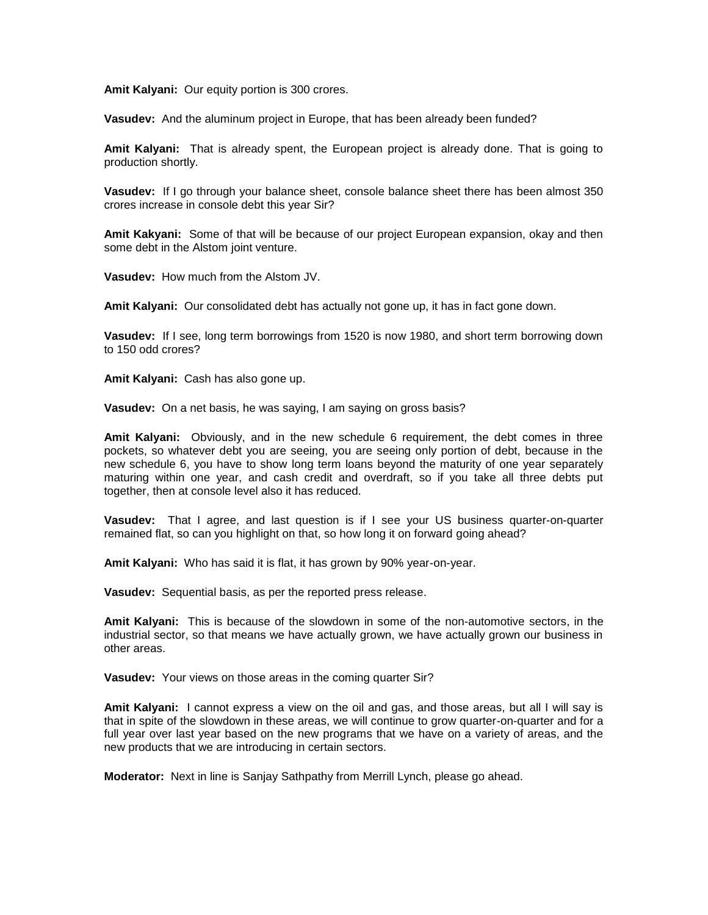**Amit Kalyani:** Our equity portion is 300 crores.

**Vasudev:** And the aluminum project in Europe, that has been already been funded?

**Amit Kalyani:** That is already spent, the European project is already done. That is going to production shortly.

**Vasudev:** If I go through your balance sheet, console balance sheet there has been almost 350 crores increase in console debt this year Sir?

**Amit Kakyani:** Some of that will be because of our project European expansion, okay and then some debt in the Alstom joint venture.

**Vasudev:** How much from the Alstom JV.

**Amit Kalyani:** Our consolidated debt has actually not gone up, it has in fact gone down.

**Vasudev:** If I see, long term borrowings from 1520 is now 1980, and short term borrowing down to 150 odd crores?

**Amit Kalyani:** Cash has also gone up.

**Vasudev:** On a net basis, he was saying, I am saying on gross basis?

**Amit Kalyani:** Obviously, and in the new schedule 6 requirement, the debt comes in three pockets, so whatever debt you are seeing, you are seeing only portion of debt, because in the new schedule 6, you have to show long term loans beyond the maturity of one year separately maturing within one year, and cash credit and overdraft, so if you take all three debts put together, then at console level also it has reduced.

**Vasudev:** That I agree, and last question is if I see your US business quarter-on-quarter remained flat, so can you highlight on that, so how long it on forward going ahead?

**Amit Kalyani:** Who has said it is flat, it has grown by 90% year-on-year.

**Vasudev:** Sequential basis, as per the reported press release.

**Amit Kalyani:** This is because of the slowdown in some of the non-automotive sectors, in the industrial sector, so that means we have actually grown, we have actually grown our business in other areas.

**Vasudev:** Your views on those areas in the coming quarter Sir?

**Amit Kalyani:** I cannot express a view on the oil and gas, and those areas, but all I will say is that in spite of the slowdown in these areas, we will continue to grow quarter-on-quarter and for a full year over last year based on the new programs that we have on a variety of areas, and the new products that we are introducing in certain sectors.

**Moderator:** Next in line is Sanjay Sathpathy from Merrill Lynch, please go ahead.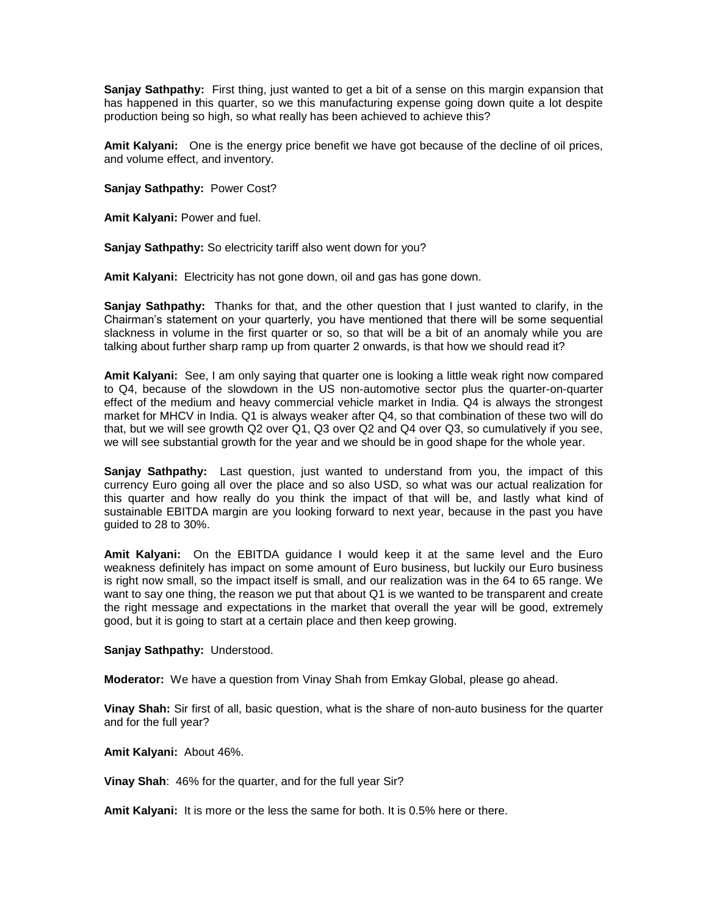**Sanjay Sathpathy:** First thing, just wanted to get a bit of a sense on this margin expansion that has happened in this quarter, so we this manufacturing expense going down quite a lot despite production being so high, so what really has been achieved to achieve this?

**Amit Kalyani:** One is the energy price benefit we have got because of the decline of oil prices, and volume effect, and inventory.

**Sanjay Sathpathy:** Power Cost?

**Amit Kalyani:** Power and fuel.

**Sanjay Sathpathy:** So electricity tariff also went down for you?

**Amit Kalyani:** Electricity has not gone down, oil and gas has gone down.

**Sanjay Sathpathy:** Thanks for that, and the other question that I just wanted to clarify, in the Chairman's statement on your quarterly, you have mentioned that there will be some sequential slackness in volume in the first quarter or so, so that will be a bit of an anomaly while you are talking about further sharp ramp up from quarter 2 onwards, is that how we should read it?

**Amit Kalyani:** See, I am only saying that quarter one is looking a little weak right now compared to Q4, because of the slowdown in the US non-automotive sector plus the quarter-on-quarter effect of the medium and heavy commercial vehicle market in India. Q4 is always the strongest market for MHCV in India. Q1 is always weaker after Q4, so that combination of these two will do that, but we will see growth Q2 over Q1, Q3 over Q2 and Q4 over Q3, so cumulatively if you see, we will see substantial growth for the year and we should be in good shape for the whole year.

**Sanjay Sathpathy:** Last question, just wanted to understand from you, the impact of this currency Euro going all over the place and so also USD, so what was our actual realization for this quarter and how really do you think the impact of that will be, and lastly what kind of sustainable EBITDA margin are you looking forward to next year, because in the past you have guided to 28 to 30%.

**Amit Kalyani:** On the EBITDA guidance I would keep it at the same level and the Euro weakness definitely has impact on some amount of Euro business, but luckily our Euro business is right now small, so the impact itself is small, and our realization was in the 64 to 65 range. We want to say one thing, the reason we put that about Q1 is we wanted to be transparent and create the right message and expectations in the market that overall the year will be good, extremely good, but it is going to start at a certain place and then keep growing.

**Sanjay Sathpathy:** Understood.

**Moderator:** We have a question from Vinay Shah from Emkay Global, please go ahead.

**Vinay Shah:** Sir first of all, basic question, what is the share of non-auto business for the quarter and for the full year?

**Amit Kalyani:** About 46%.

**Vinay Shah**: 46% for the quarter, and for the full year Sir?

**Amit Kalyani:** It is more or the less the same for both. It is 0.5% here or there.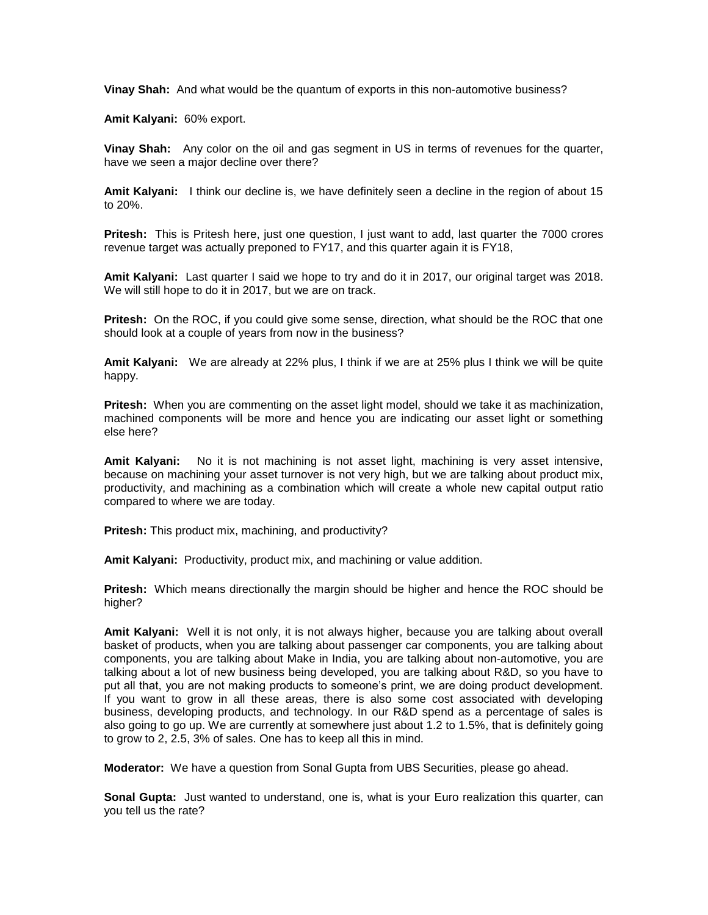**Vinay Shah:** And what would be the quantum of exports in this non-automotive business?

**Amit Kalyani:** 60% export.

**Vinay Shah:** Any color on the oil and gas segment in US in terms of revenues for the quarter, have we seen a major decline over there?

**Amit Kalyani:** I think our decline is, we have definitely seen a decline in the region of about 15 to 20%.

**Pritesh:** This is Pritesh here, just one question, I just want to add, last quarter the 7000 crores revenue target was actually preponed to FY17, and this quarter again it is FY18,

**Amit Kalyani:** Last quarter I said we hope to try and do it in 2017, our original target was 2018. We will still hope to do it in 2017, but we are on track.

**Pritesh:** On the ROC, if you could give some sense, direction, what should be the ROC that one should look at a couple of years from now in the business?

**Amit Kalyani:** We are already at 22% plus, I think if we are at 25% plus I think we will be quite happy.

**Pritesh:** When you are commenting on the asset light model, should we take it as machinization, machined components will be more and hence you are indicating our asset light or something else here?

**Amit Kalyani:** No it is not machining is not asset light, machining is very asset intensive, because on machining your asset turnover is not very high, but we are talking about product mix, productivity, and machining as a combination which will create a whole new capital output ratio compared to where we are today.

**Pritesh:** This product mix, machining, and productivity?

**Amit Kalyani:** Productivity, product mix, and machining or value addition.

**Pritesh:** Which means directionally the margin should be higher and hence the ROC should be higher?

**Amit Kalyani:** Well it is not only, it is not always higher, because you are talking about overall basket of products, when you are talking about passenger car components, you are talking about components, you are talking about Make in India, you are talking about non-automotive, you are talking about a lot of new business being developed, you are talking about R&D, so you have to put all that, you are not making products to someone's print, we are doing product development. If you want to grow in all these areas, there is also some cost associated with developing business, developing products, and technology. In our R&D spend as a percentage of sales is also going to go up. We are currently at somewhere just about 1.2 to 1.5%, that is definitely going to grow to 2, 2.5, 3% of sales. One has to keep all this in mind.

**Moderator:** We have a question from Sonal Gupta from UBS Securities, please go ahead.

**Sonal Gupta:** Just wanted to understand, one is, what is your Euro realization this quarter, can you tell us the rate?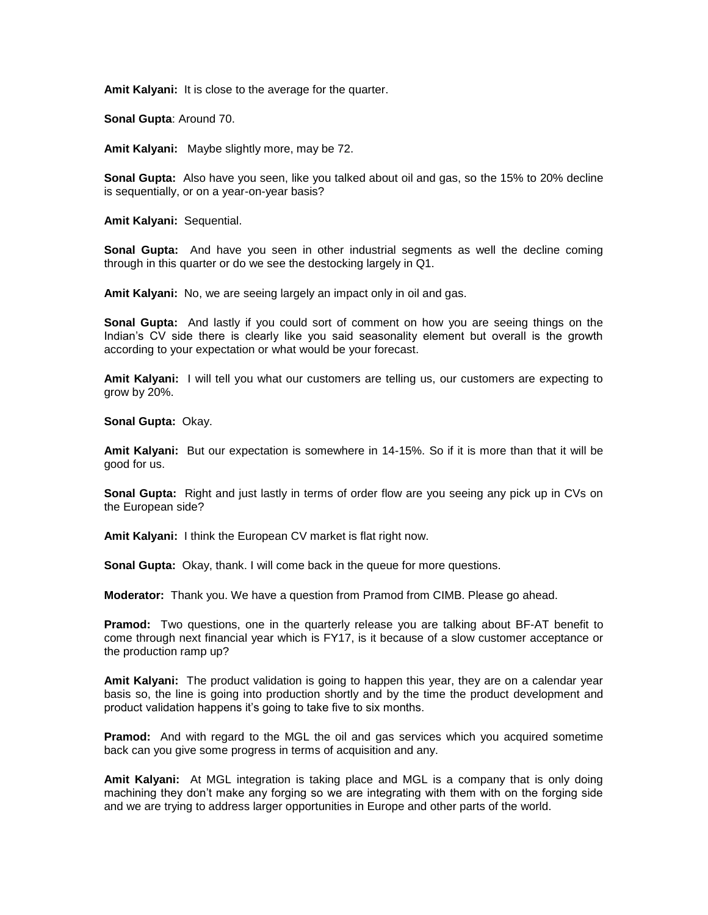**Amit Kalyani:** It is close to the average for the quarter.

**Sonal Gupta**: Around 70.

**Amit Kalyani:** Maybe slightly more, may be 72.

**Sonal Gupta:** Also have you seen, like you talked about oil and gas, so the 15% to 20% decline is sequentially, or on a year-on-year basis?

**Amit Kalyani:** Sequential.

**Sonal Gupta:** And have you seen in other industrial segments as well the decline coming through in this quarter or do we see the destocking largely in Q1.

**Amit Kalyani:** No, we are seeing largely an impact only in oil and gas.

**Sonal Gupta:** And lastly if you could sort of comment on how you are seeing things on the Indian's CV side there is clearly like you said seasonality element but overall is the growth according to your expectation or what would be your forecast.

**Amit Kalyani:** I will tell you what our customers are telling us, our customers are expecting to grow by 20%.

**Sonal Gupta:** Okay.

**Amit Kalyani:** But our expectation is somewhere in 14-15%. So if it is more than that it will be good for us.

**Sonal Gupta:** Right and just lastly in terms of order flow are you seeing any pick up in CVs on the European side?

**Amit Kalyani:** I think the European CV market is flat right now.

**Sonal Gupta:** Okay, thank. I will come back in the queue for more questions.

**Moderator:** Thank you. We have a question from Pramod from CIMB. Please go ahead.

**Pramod:** Two questions, one in the quarterly release you are talking about BF-AT benefit to come through next financial year which is FY17, is it because of a slow customer acceptance or the production ramp up?

**Amit Kalyani:** The product validation is going to happen this year, they are on a calendar year basis so, the line is going into production shortly and by the time the product development and product validation happens it's going to take five to six months.

**Pramod:** And with regard to the MGL the oil and gas services which you acquired sometime back can you give some progress in terms of acquisition and any.

**Amit Kalyani:** At MGL integration is taking place and MGL is a company that is only doing machining they don't make any forging so we are integrating with them with on the forging side and we are trying to address larger opportunities in Europe and other parts of the world.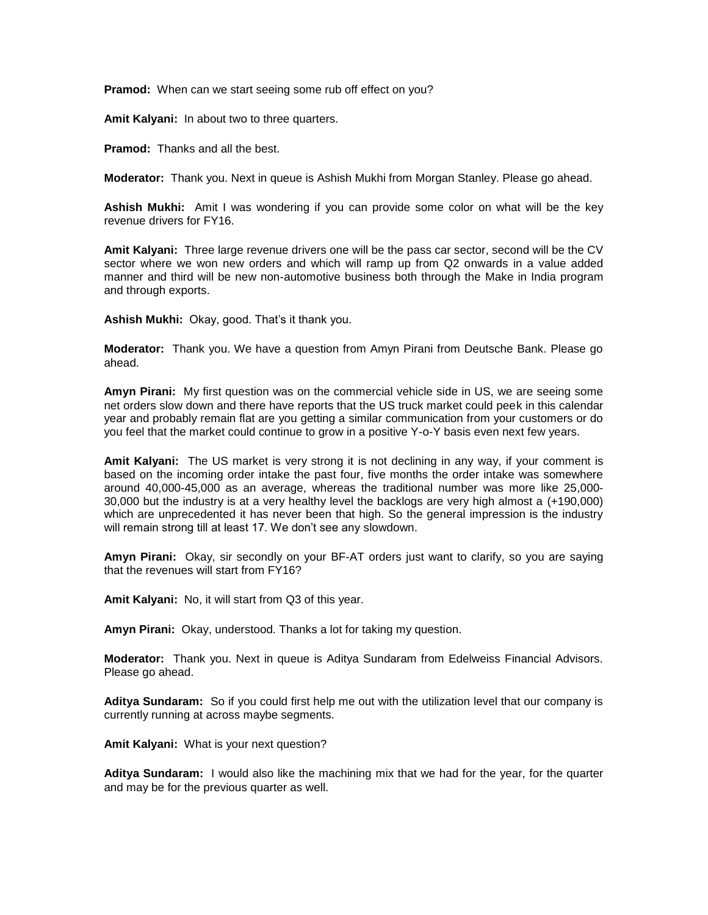**Pramod:** When can we start seeing some rub off effect on you?

**Amit Kalyani:** In about two to three quarters.

**Pramod:** Thanks and all the best.

**Moderator:** Thank you. Next in queue is Ashish Mukhi from Morgan Stanley. Please go ahead.

**Ashish Mukhi:** Amit I was wondering if you can provide some color on what will be the key revenue drivers for FY16.

**Amit Kalyani:** Three large revenue drivers one will be the pass car sector, second will be the CV sector where we won new orders and which will ramp up from Q2 onwards in a value added manner and third will be new non-automotive business both through the Make in India program and through exports.

**Ashish Mukhi:** Okay, good. That's it thank you.

**Moderator:** Thank you. We have a question from Amyn Pirani from Deutsche Bank. Please go ahead.

**Amyn Pirani:** My first question was on the commercial vehicle side in US, we are seeing some net orders slow down and there have reports that the US truck market could peek in this calendar year and probably remain flat are you getting a similar communication from your customers or do you feel that the market could continue to grow in a positive Y-o-Y basis even next few years.

**Amit Kalyani:** The US market is very strong it is not declining in any way, if your comment is based on the incoming order intake the past four, five months the order intake was somewhere around 40,000-45,000 as an average, whereas the traditional number was more like 25,000- 30,000 but the industry is at a very healthy level the backlogs are very high almost a (+190,000) which are unprecedented it has never been that high. So the general impression is the industry will remain strong till at least 17. We don't see any slowdown.

**Amyn Pirani:** Okay, sir secondly on your BF-AT orders just want to clarify, so you are saying that the revenues will start from FY16?

**Amit Kalyani:** No, it will start from Q3 of this year.

**Amyn Pirani:** Okay, understood. Thanks a lot for taking my question.

**Moderator:** Thank you. Next in queue is Aditya Sundaram from Edelweiss Financial Advisors. Please go ahead.

**Aditya Sundaram:** So if you could first help me out with the utilization level that our company is currently running at across maybe segments.

**Amit Kalyani:** What is your next question?

**Aditya Sundaram:** I would also like the machining mix that we had for the year, for the quarter and may be for the previous quarter as well.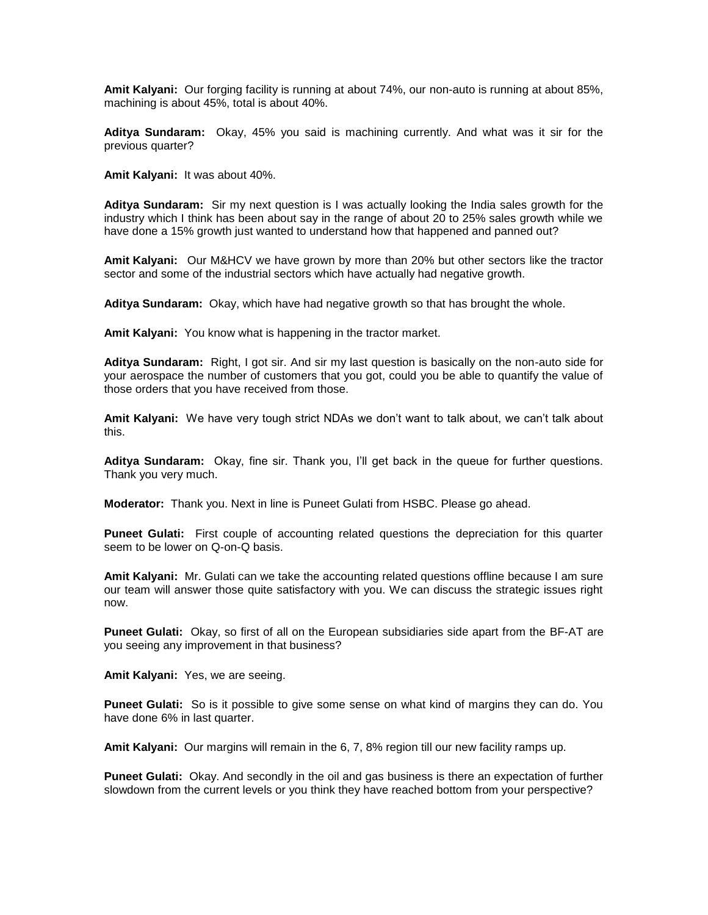**Amit Kalyani:** Our forging facility is running at about 74%, our non-auto is running at about 85%, machining is about 45%, total is about 40%.

**Aditya Sundaram:** Okay, 45% you said is machining currently. And what was it sir for the previous quarter?

**Amit Kalyani:** It was about 40%.

**Aditya Sundaram:** Sir my next question is I was actually looking the India sales growth for the industry which I think has been about say in the range of about 20 to 25% sales growth while we have done a 15% growth just wanted to understand how that happened and panned out?

**Amit Kalyani:** Our M&HCV we have grown by more than 20% but other sectors like the tractor sector and some of the industrial sectors which have actually had negative growth.

**Aditya Sundaram:** Okay, which have had negative growth so that has brought the whole.

**Amit Kalyani:** You know what is happening in the tractor market.

**Aditya Sundaram:** Right, I got sir. And sir my last question is basically on the non-auto side for your aerospace the number of customers that you got, could you be able to quantify the value of those orders that you have received from those.

**Amit Kalyani:** We have very tough strict NDAs we don't want to talk about, we can't talk about this.

**Aditya Sundaram:** Okay, fine sir. Thank you, I'll get back in the queue for further questions. Thank you very much.

**Moderator:** Thank you. Next in line is Puneet Gulati from HSBC. Please go ahead.

**Puneet Gulati:** First couple of accounting related questions the depreciation for this quarter seem to be lower on Q-on-Q basis.

**Amit Kalyani:** Mr. Gulati can we take the accounting related questions offline because I am sure our team will answer those quite satisfactory with you. We can discuss the strategic issues right now.

**Puneet Gulati:** Okay, so first of all on the European subsidiaries side apart from the BF-AT are you seeing any improvement in that business?

**Amit Kalyani:** Yes, we are seeing.

**Puneet Gulati:** So is it possible to give some sense on what kind of margins they can do. You have done 6% in last quarter.

**Amit Kalyani:** Our margins will remain in the 6, 7, 8% region till our new facility ramps up.

**Puneet Gulati:** Okay. And secondly in the oil and gas business is there an expectation of further slowdown from the current levels or you think they have reached bottom from your perspective?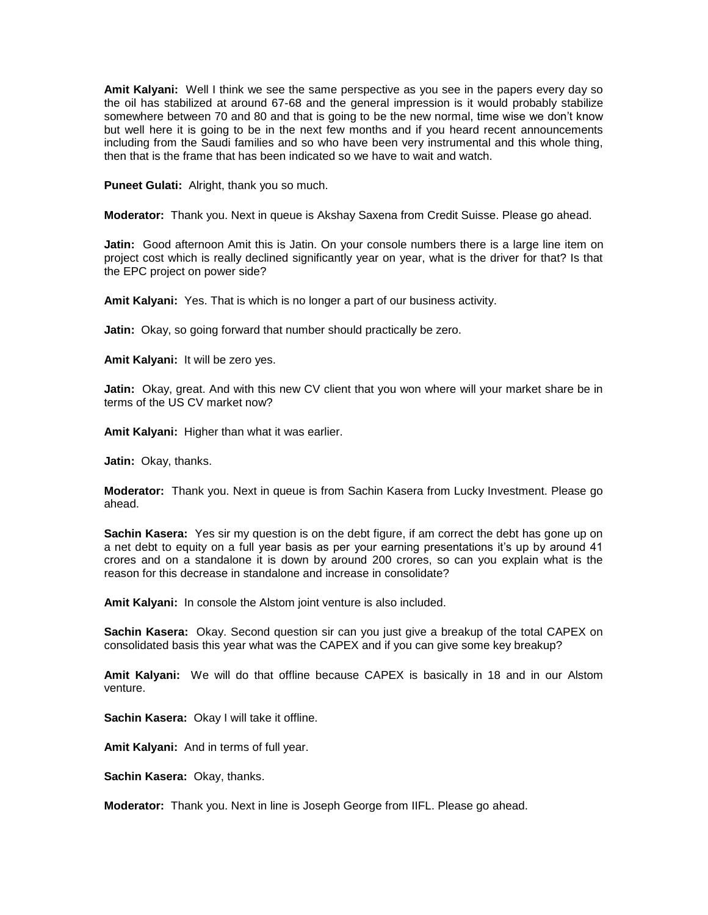**Amit Kalyani:** Well I think we see the same perspective as you see in the papers every day so the oil has stabilized at around 67-68 and the general impression is it would probably stabilize somewhere between 70 and 80 and that is going to be the new normal, time wise we don't know but well here it is going to be in the next few months and if you heard recent announcements including from the Saudi families and so who have been very instrumental and this whole thing, then that is the frame that has been indicated so we have to wait and watch.

**Puneet Gulati:** Alright, thank you so much.

**Moderator:** Thank you. Next in queue is Akshay Saxena from Credit Suisse. Please go ahead.

**Jatin:** Good afternoon Amit this is Jatin. On your console numbers there is a large line item on project cost which is really declined significantly year on year, what is the driver for that? Is that the EPC project on power side?

**Amit Kalyani:** Yes. That is which is no longer a part of our business activity.

**Jatin:** Okay, so going forward that number should practically be zero.

**Amit Kalyani:** It will be zero yes.

**Jatin:** Okay, great. And with this new CV client that you won where will your market share be in terms of the US CV market now?

**Amit Kalyani:** Higher than what it was earlier.

**Jatin:** Okay, thanks.

**Moderator:** Thank you. Next in queue is from Sachin Kasera from Lucky Investment. Please go ahead.

**Sachin Kasera:** Yes sir my question is on the debt figure, if am correct the debt has gone up on a net debt to equity on a full year basis as per your earning presentations it's up by around 41 crores and on a standalone it is down by around 200 crores, so can you explain what is the reason for this decrease in standalone and increase in consolidate?

**Amit Kalyani:** In console the Alstom joint venture is also included.

**Sachin Kasera:** Okay. Second question sir can you just give a breakup of the total CAPEX on consolidated basis this year what was the CAPEX and if you can give some key breakup?

**Amit Kalyani:** We will do that offline because CAPEX is basically in 18 and in our Alstom venture.

**Sachin Kasera:** Okay I will take it offline.

**Amit Kalyani:** And in terms of full year.

**Sachin Kasera:** Okay, thanks.

**Moderator:** Thank you. Next in line is Joseph George from IIFL. Please go ahead.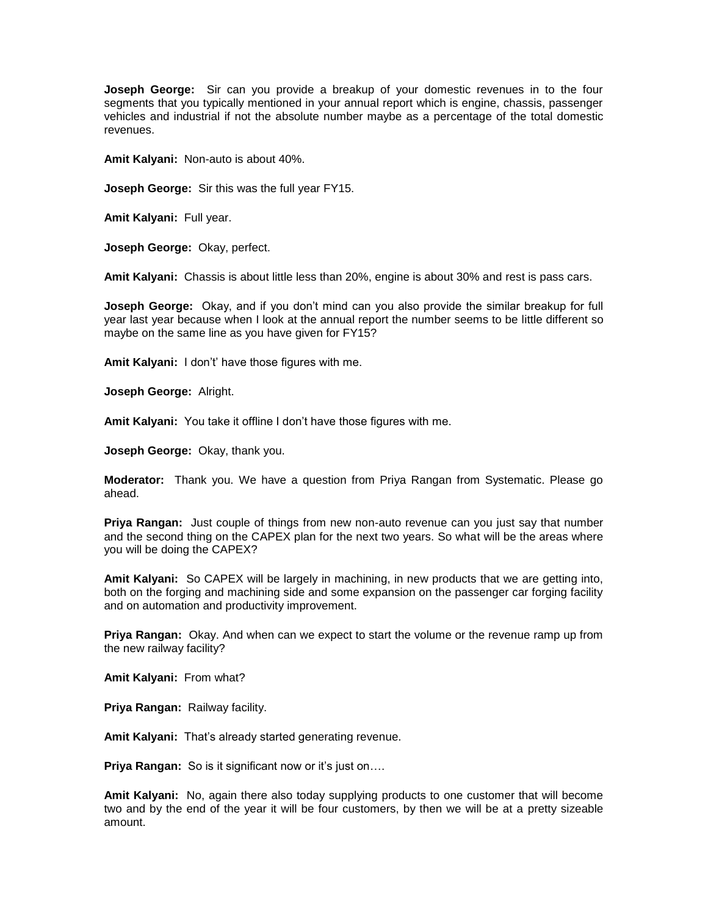**Joseph George:** Sir can you provide a breakup of your domestic revenues in to the four segments that you typically mentioned in your annual report which is engine, chassis, passenger vehicles and industrial if not the absolute number maybe as a percentage of the total domestic revenues.

**Amit Kalyani:** Non-auto is about 40%.

**Joseph George:** Sir this was the full year FY15.

**Amit Kalyani:** Full year.

**Joseph George:** Okay, perfect.

**Amit Kalyani:** Chassis is about little less than 20%, engine is about 30% and rest is pass cars.

**Joseph George:** Okay, and if you don't mind can you also provide the similar breakup for full year last year because when I look at the annual report the number seems to be little different so maybe on the same line as you have given for FY15?

**Amit Kalyani:** I don't' have those figures with me.

**Joseph George:** Alright.

**Amit Kalyani:** You take it offline I don't have those figures with me.

**Joseph George:** Okay, thank you.

**Moderator:** Thank you. We have a question from Priya Rangan from Systematic. Please go ahead.

**Priya Rangan:** Just couple of things from new non-auto revenue can you just say that number and the second thing on the CAPEX plan for the next two years. So what will be the areas where you will be doing the CAPEX?

**Amit Kalyani:** So CAPEX will be largely in machining, in new products that we are getting into, both on the forging and machining side and some expansion on the passenger car forging facility and on automation and productivity improvement.

**Priya Rangan:** Okay. And when can we expect to start the volume or the revenue ramp up from the new railway facility?

**Amit Kalyani:** From what?

**Priya Rangan:** Railway facility.

**Amit Kalyani:** That's already started generating revenue.

**Priya Rangan:** So is it significant now or it's just on....

**Amit Kalyani:** No, again there also today supplying products to one customer that will become two and by the end of the year it will be four customers, by then we will be at a pretty sizeable amount.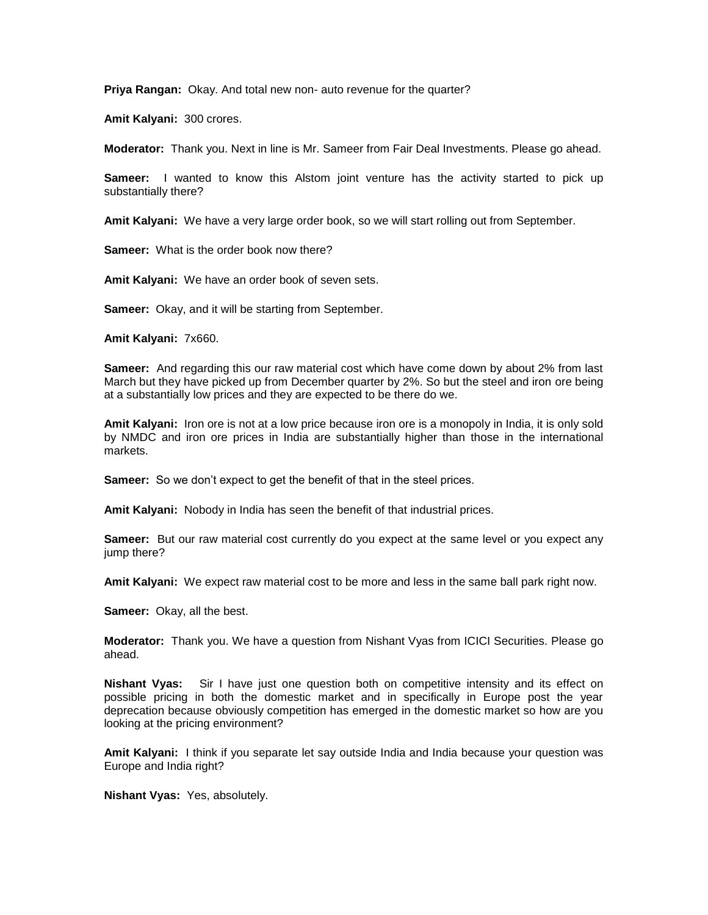**Priya Rangan:** Okay. And total new non- auto revenue for the quarter?

**Amit Kalyani:** 300 crores.

**Moderator:** Thank you. Next in line is Mr. Sameer from Fair Deal Investments. Please go ahead.

**Sameer:** I wanted to know this Alstom joint venture has the activity started to pick up substantially there?

**Amit Kalyani:** We have a very large order book, so we will start rolling out from September.

**Sameer:** What is the order book now there?

**Amit Kalyani:** We have an order book of seven sets.

**Sameer:** Okay, and it will be starting from September.

**Amit Kalyani:** 7x660.

**Sameer:** And regarding this our raw material cost which have come down by about 2% from last March but they have picked up from December quarter by 2%. So but the steel and iron ore being at a substantially low prices and they are expected to be there do we.

**Amit Kalyani:** Iron ore is not at a low price because iron ore is a monopoly in India, it is only sold by NMDC and iron ore prices in India are substantially higher than those in the international markets.

**Sameer:** So we don't expect to get the benefit of that in the steel prices.

**Amit Kalyani:** Nobody in India has seen the benefit of that industrial prices.

**Sameer:** But our raw material cost currently do you expect at the same level or you expect any jump there?

**Amit Kalyani:** We expect raw material cost to be more and less in the same ball park right now.

**Sameer:** Okay, all the best.

**Moderator:** Thank you. We have a question from Nishant Vyas from ICICI Securities. Please go ahead.

**Nishant Vyas:** Sir I have just one question both on competitive intensity and its effect on possible pricing in both the domestic market and in specifically in Europe post the year deprecation because obviously competition has emerged in the domestic market so how are you looking at the pricing environment?

**Amit Kalyani:** I think if you separate let say outside India and India because your question was Europe and India right?

**Nishant Vyas:** Yes, absolutely.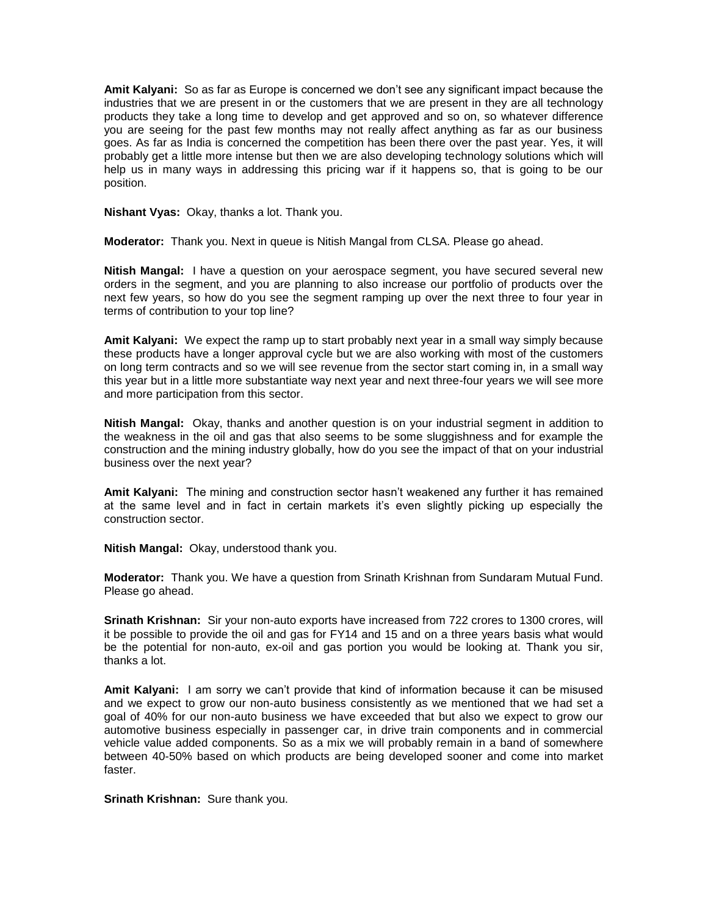**Amit Kalyani:** So as far as Europe is concerned we don't see any significant impact because the industries that we are present in or the customers that we are present in they are all technology products they take a long time to develop and get approved and so on, so whatever difference you are seeing for the past few months may not really affect anything as far as our business goes. As far as India is concerned the competition has been there over the past year. Yes, it will probably get a little more intense but then we are also developing technology solutions which will help us in many ways in addressing this pricing war if it happens so, that is going to be our position.

**Nishant Vyas:** Okay, thanks a lot. Thank you.

**Moderator:** Thank you. Next in queue is Nitish Mangal from CLSA. Please go ahead.

**Nitish Mangal:** I have a question on your aerospace segment, you have secured several new orders in the segment, and you are planning to also increase our portfolio of products over the next few years, so how do you see the segment ramping up over the next three to four year in terms of contribution to your top line?

**Amit Kalyani:** We expect the ramp up to start probably next year in a small way simply because these products have a longer approval cycle but we are also working with most of the customers on long term contracts and so we will see revenue from the sector start coming in, in a small way this year but in a little more substantiate way next year and next three-four years we will see more and more participation from this sector.

**Nitish Mangal:** Okay, thanks and another question is on your industrial segment in addition to the weakness in the oil and gas that also seems to be some sluggishness and for example the construction and the mining industry globally, how do you see the impact of that on your industrial business over the next year?

**Amit Kalyani:** The mining and construction sector hasn't weakened any further it has remained at the same level and in fact in certain markets it's even slightly picking up especially the construction sector.

**Nitish Mangal:** Okay, understood thank you.

**Moderator:** Thank you. We have a question from Srinath Krishnan from Sundaram Mutual Fund. Please go ahead.

**Srinath Krishnan:** Sir your non-auto exports have increased from 722 crores to 1300 crores, will it be possible to provide the oil and gas for FY14 and 15 and on a three years basis what would be the potential for non-auto, ex-oil and gas portion you would be looking at. Thank you sir, thanks a lot.

**Amit Kalyani:** I am sorry we can't provide that kind of information because it can be misused and we expect to grow our non-auto business consistently as we mentioned that we had set a goal of 40% for our non-auto business we have exceeded that but also we expect to grow our automotive business especially in passenger car, in drive train components and in commercial vehicle value added components. So as a mix we will probably remain in a band of somewhere between 40-50% based on which products are being developed sooner and come into market faster.

**Srinath Krishnan:** Sure thank you.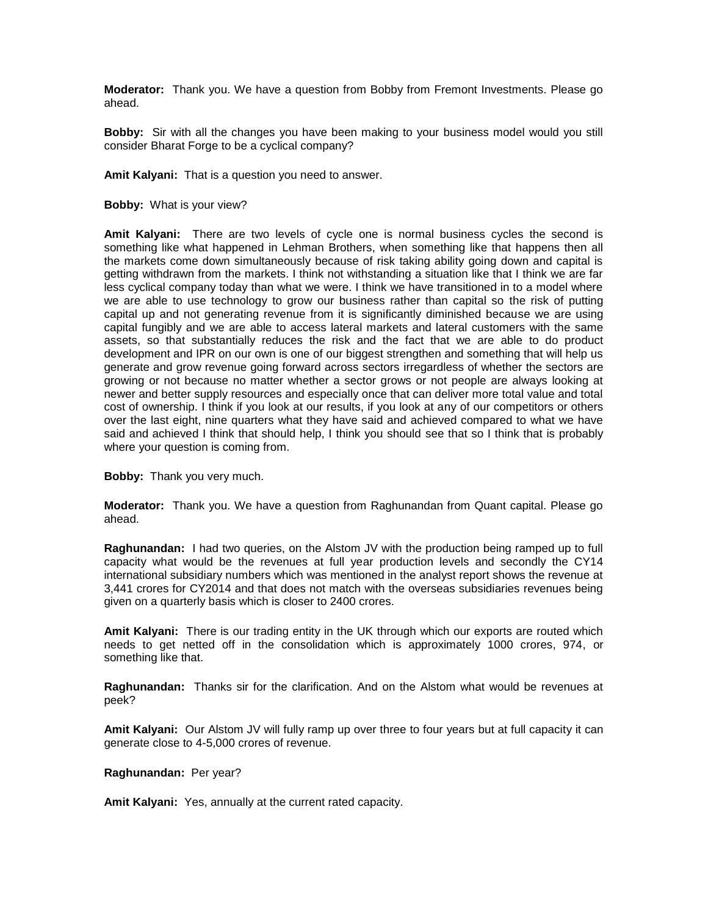**Moderator:** Thank you. We have a question from Bobby from Fremont Investments. Please go ahead.

**Bobby:** Sir with all the changes you have been making to your business model would you still consider Bharat Forge to be a cyclical company?

**Amit Kalyani:** That is a question you need to answer.

**Bobby:** What is your view?

**Amit Kalyani:** There are two levels of cycle one is normal business cycles the second is something like what happened in Lehman Brothers, when something like that happens then all the markets come down simultaneously because of risk taking ability going down and capital is getting withdrawn from the markets. I think not withstanding a situation like that I think we are far less cyclical company today than what we were. I think we have transitioned in to a model where we are able to use technology to grow our business rather than capital so the risk of putting capital up and not generating revenue from it is significantly diminished because we are using capital fungibly and we are able to access lateral markets and lateral customers with the same assets, so that substantially reduces the risk and the fact that we are able to do product development and IPR on our own is one of our biggest strengthen and something that will help us generate and grow revenue going forward across sectors irregardless of whether the sectors are growing or not because no matter whether a sector grows or not people are always looking at newer and better supply resources and especially once that can deliver more total value and total cost of ownership. I think if you look at our results, if you look at any of our competitors or others over the last eight, nine quarters what they have said and achieved compared to what we have said and achieved I think that should help, I think you should see that so I think that is probably where your question is coming from.

**Bobby:** Thank you very much.

**Moderator:** Thank you. We have a question from Raghunandan from Quant capital. Please go ahead.

**Raghunandan:** I had two queries, on the Alstom JV with the production being ramped up to full capacity what would be the revenues at full year production levels and secondly the CY14 international subsidiary numbers which was mentioned in the analyst report shows the revenue at 3,441 crores for CY2014 and that does not match with the overseas subsidiaries revenues being given on a quarterly basis which is closer to 2400 crores.

**Amit Kalyani:** There is our trading entity in the UK through which our exports are routed which needs to get netted off in the consolidation which is approximately 1000 crores, 974, or something like that.

**Raghunandan:** Thanks sir for the clarification. And on the Alstom what would be revenues at peek?

**Amit Kalyani:** Our Alstom JV will fully ramp up over three to four years but at full capacity it can generate close to 4-5,000 crores of revenue.

**Raghunandan:** Per year?

**Amit Kalyani:** Yes, annually at the current rated capacity.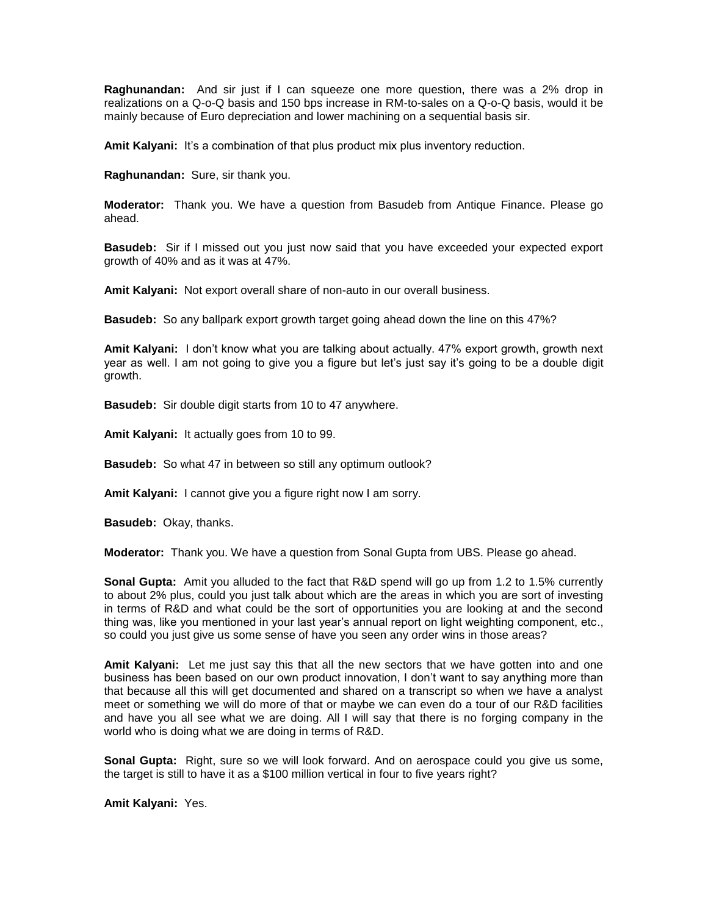**Raghunandan:** And sir just if I can squeeze one more question, there was a 2% drop in realizations on a Q-o-Q basis and 150 bps increase in RM-to-sales on a Q-o-Q basis, would it be mainly because of Euro depreciation and lower machining on a sequential basis sir.

**Amit Kalyani:** It's a combination of that plus product mix plus inventory reduction.

**Raghunandan:** Sure, sir thank you.

**Moderator:** Thank you. We have a question from Basudeb from Antique Finance. Please go ahead.

**Basudeb:** Sir if I missed out you just now said that you have exceeded your expected export growth of 40% and as it was at 47%.

**Amit Kalyani:** Not export overall share of non-auto in our overall business.

**Basudeb:** So any ballpark export growth target going ahead down the line on this 47%?

**Amit Kalyani:** I don't know what you are talking about actually. 47% export growth, growth next year as well. I am not going to give you a figure but let's just say it's going to be a double digit growth.

**Basudeb:** Sir double digit starts from 10 to 47 anywhere.

**Amit Kalyani:** It actually goes from 10 to 99.

**Basudeb:** So what 47 in between so still any optimum outlook?

**Amit Kalyani:** I cannot give you a figure right now I am sorry.

**Basudeb:** Okay, thanks.

**Moderator:** Thank you. We have a question from Sonal Gupta from UBS. Please go ahead.

**Sonal Gupta:** Amit you alluded to the fact that R&D spend will go up from 1.2 to 1.5% currently to about 2% plus, could you just talk about which are the areas in which you are sort of investing in terms of R&D and what could be the sort of opportunities you are looking at and the second thing was, like you mentioned in your last year's annual report on light weighting component, etc., so could you just give us some sense of have you seen any order wins in those areas?

**Amit Kalyani:** Let me just say this that all the new sectors that we have gotten into and one business has been based on our own product innovation, I don't want to say anything more than that because all this will get documented and shared on a transcript so when we have a analyst meet or something we will do more of that or maybe we can even do a tour of our R&D facilities and have you all see what we are doing. All I will say that there is no forging company in the world who is doing what we are doing in terms of R&D.

**Sonal Gupta:** Right, sure so we will look forward. And on aerospace could you give us some, the target is still to have it as a \$100 million vertical in four to five years right?

**Amit Kalyani:** Yes.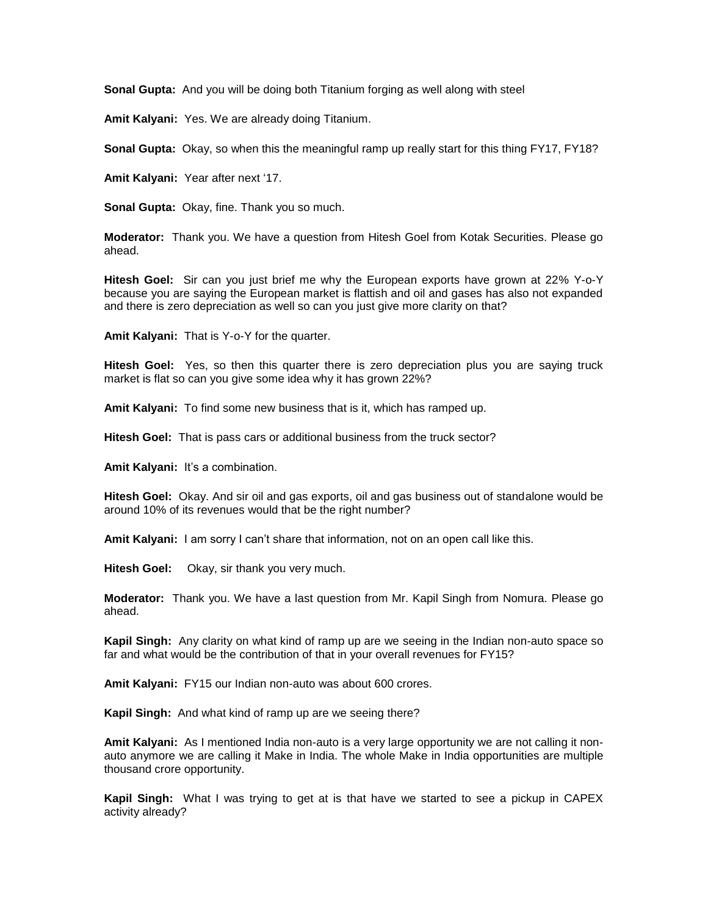**Sonal Gupta:** And you will be doing both Titanium forging as well along with steel

**Amit Kalyani:** Yes. We are already doing Titanium.

**Sonal Gupta:** Okay, so when this the meaningful ramp up really start for this thing FY17, FY18?

**Amit Kalyani:** Year after next '17.

**Sonal Gupta:** Okay, fine. Thank you so much.

**Moderator:** Thank you. We have a question from Hitesh Goel from Kotak Securities. Please go ahead.

**Hitesh Goel:** Sir can you just brief me why the European exports have grown at 22% Y-o-Y because you are saying the European market is flattish and oil and gases has also not expanded and there is zero depreciation as well so can you just give more clarity on that?

**Amit Kalyani:** That is Y-o-Y for the quarter.

**Hitesh Goel:** Yes, so then this quarter there is zero depreciation plus you are saying truck market is flat so can you give some idea why it has grown 22%?

**Amit Kalyani:** To find some new business that is it, which has ramped up.

**Hitesh Goel:** That is pass cars or additional business from the truck sector?

**Amit Kalyani:** It's a combination.

**Hitesh Goel:** Okay. And sir oil and gas exports, oil and gas business out of standalone would be around 10% of its revenues would that be the right number?

**Amit Kalyani:** I am sorry I can't share that information, not on an open call like this.

**Hitesh Goel:** Okay, sir thank you very much.

**Moderator:** Thank you. We have a last question from Mr. Kapil Singh from Nomura. Please go ahead.

**Kapil Singh:** Any clarity on what kind of ramp up are we seeing in the Indian non-auto space so far and what would be the contribution of that in your overall revenues for FY15?

**Amit Kalyani:** FY15 our Indian non-auto was about 600 crores.

**Kapil Singh:** And what kind of ramp up are we seeing there?

**Amit Kalyani:** As I mentioned India non-auto is a very large opportunity we are not calling it nonauto anymore we are calling it Make in India. The whole Make in India opportunities are multiple thousand crore opportunity.

**Kapil Singh:** What I was trying to get at is that have we started to see a pickup in CAPEX activity already?